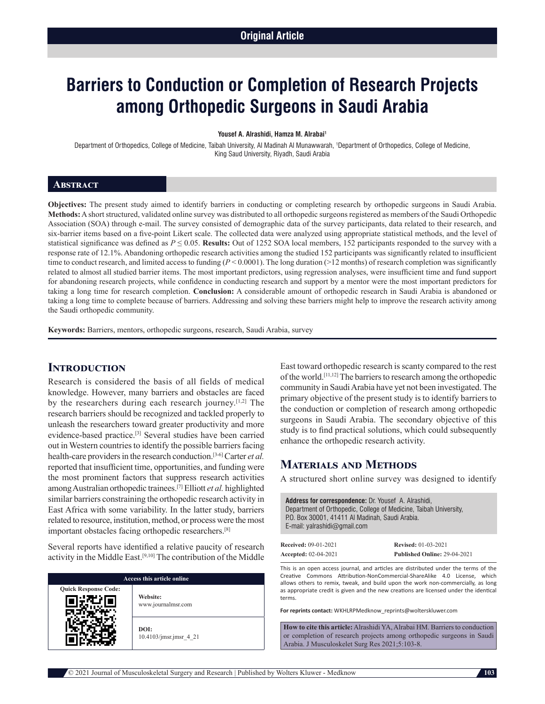# **Barriers to Conduction or Completion of Research Projects among Orthopedic Surgeons in Saudi Arabia**

#### **Yousef A. Alrashidi, Hamza M. Alrabai1**

Department of Orthopedics, College of Medicine, Taibah University, Al Madinah Al Munawwarah, 1 Department of Orthopedics, College of Medicine, King Saud University, Riyadh, Saudi Arabia

### **Abstract**

**Objectives:** The present study aimed to identify barriers in conducting or completing research by orthopedic surgeons in Saudi Arabia. **Methods:** Ashort structured, validated online survey was distributed to all orthopedic surgeons registered as members of the Saudi Orthopedic Association (SOA) through e-mail. The survey consisted of demographic data of the survey participants, data related to their research, and six-barrier items based on a five-point Likert scale. The collected data were analyzed using appropriate statistical methods, and the level of statistical significance was defined as *P* ≤ 0.05. **Results:** Out of 1252 SOA local members, 152 participants responded to the survey with a response rate of 12.1%. Abandoning orthopedic research activities among the studied 152 participants was significantly related to insufficient time to conduct research, and limited access to funding ( $P < 0.0001$ ). The long duration (>12 months) of research completion was significantly related to almost all studied barrier items. The most important predictors, using regression analyses, were insufficient time and fund support for abandoning research projects, while confidence in conducting research and support by a mentor were the most important predictors for taking a long time for research completion. **Conclusion:** A considerable amount of orthopedic research in Saudi Arabia is abandoned or taking a long time to complete because of barriers. Addressing and solving these barriers might help to improve the research activity among the Saudi orthopedic community.

**Keywords:** Barriers, mentors, orthopedic surgeons, research, Saudi Arabia, survey

### **Introduction**

Research is considered the basis of all fields of medical knowledge. However, many barriers and obstacles are faced by the researchers during each research journey.[1,2] The research barriers should be recognized and tackled properly to unleash the researchers toward greater productivity and more evidence-based practice.[3] Several studies have been carried out in Western countries to identify the possible barriers facing health-care providers in the research conduction.[3-6] Carter *et al.*  reported that insufficient time, opportunities, and funding were the most prominent factors that suppress research activities among Australian orthopedic trainees.[7] Elliott *et al.* highlighted similar barriers constraining the orthopedic research activity in East Africa with some variability. In the latter study, barriers related to resource, institution, method, or process were the most important obstacles facing orthopedic researchers.[8]

Several reports have identified a relative paucity of research activity in the Middle East.[9,10] The contribution of the Middle

| Access this article online  |                                |  |  |  |
|-----------------------------|--------------------------------|--|--|--|
| <b>Quick Response Code:</b> | Website:<br>www.journalmsr.com |  |  |  |
|                             | DOI:<br>10.4103/jmsr.jmsr 4 21 |  |  |  |

East toward orthopedic research is scanty compared to the rest of the world.[11,12] The barriers to research among the orthopedic community in Saudi Arabia have yet not been investigated. The primary objective of the present study is to identify barriers to the conduction or completion of research among orthopedic surgeons in Saudi Arabia. The secondary objective of this study is to find practical solutions, which could subsequently enhance the orthopedic research activity.

# **Materials and Methods**

A structured short online survey was designed to identify

| <b>Address for correspondence: Dr. Yousef A. Alrashidi.</b><br>Department of Orthopedic, College of Medicine, Taibah University,<br>P.O. Box 30001, 41411 Al Madinah, Saudi Arabia.<br>E-mail: valrashidi@gmail.com |
|---------------------------------------------------------------------------------------------------------------------------------------------------------------------------------------------------------------------|
|                                                                                                                                                                                                                     |

| <b>Received: 09-01-2021</b> | <b>Revised: 01-03-2021</b>   |
|-----------------------------|------------------------------|
| <b>Accepted: 02-04-2021</b> | Published Online: 29-04-2021 |

This is an open access journal, and articles are distributed under the terms of the Creative Commons Attribution‑NonCommercial‑ShareAlike 4.0 License, which allows others to remix, tweak, and build upon the work non-commercially, as long as appropriate credit is given and the new creations are licensed under the identical terms.

**For reprints contact:** WKHLRPMedknow\_reprints@wolterskluwer.com

**How to cite this article:** Alrashidi YA, Alrabai HM. Barriers to conduction or completion of research projects among orthopedic surgeons in Saudi Arabia. J Musculoskelet Surg Res 2021;5:103-8.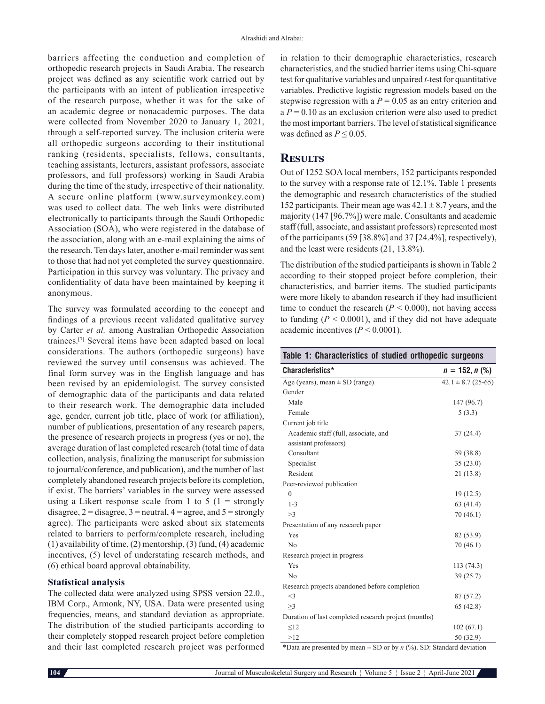barriers affecting the conduction and completion of orthopedic research projects in Saudi Arabia. The research project was defined as any scientific work carried out by the participants with an intent of publication irrespective of the research purpose, whether it was for the sake of an academic degree or nonacademic purposes. The data were collected from November 2020 to January 1, 2021, through a self-reported survey. The inclusion criteria were all orthopedic surgeons according to their institutional ranking (residents, specialists, fellows, consultants, teaching assistants, lecturers, assistant professors, associate professors, and full professors) working in Saudi Arabia during the time of the study, irrespective of their nationality. A secure online platform (www.surveymonkey.com) was used to collect data. The web links were distributed electronically to participants through the Saudi Orthopedic Association (SOA), who were registered in the database of the association, along with an e-mail explaining the aims of the research. Ten days later, another e-mail reminder was sent to those that had not yet completed the survey questionnaire. Participation in this survey was voluntary. The privacy and confidentiality of data have been maintained by keeping it anonymous.

The survey was formulated according to the concept and findings of a previous recent validated qualitative survey by Carter *et al.* among Australian Orthopedic Association trainees.[7] Several items have been adapted based on local considerations. The authors (orthopedic surgeons) have reviewed the survey until consensus was achieved. The final form survey was in the English language and has been revised by an epidemiologist. The survey consisted of demographic data of the participants and data related to their research work. The demographic data included age, gender, current job title, place of work (or affiliation), number of publications, presentation of any research papers, the presence of research projects in progress (yes or no), the average duration of last completed research (total time of data collection, analysis, finalizing the manuscript for submission to journal/conference, and publication), and the number of last completely abandoned research projects before its completion, if exist. The barriers' variables in the survey were assessed using a Likert response scale from 1 to 5 (1 = strongly disagree,  $2 =$  disagree,  $3 =$  neutral,  $4 =$  agree, and  $5 =$  strongly agree). The participants were asked about six statements related to barriers to perform/complete research, including (1) availability of time, (2) mentorship, (3) fund, (4) academic incentives, (5) level of understating research methods, and (6) ethical board approval obtainability.

### **Statistical analysis**

The collected data were analyzed using SPSS version 22.0., IBM Corp., Armonk, NY, USA. Data were presented using frequencies, means, and standard deviation as appropriate. The distribution of the studied participants according to their completely stopped research project before completion and their last completed research project was performed in relation to their demographic characteristics, research characteristics, and the studied barrier items using Chi-square test for qualitative variables and unpaired *t*-test for quantitative variables. Predictive logistic regression models based on the stepwise regression with a  $P = 0.05$  as an entry criterion and  $a P = 0.10$  as an exclusion criterion were also used to predict the most important barriers. The level of statistical significance was defined as  $P \leq 0.05$ .

## **Results**

Out of 1252 SOA local members, 152 participants responded to the survey with a response rate of 12.1%. Table 1 presents the demographic and research characteristics of the studied 152 participants. Their mean age was  $42.1 \pm 8.7$  years, and the majority (147 [96.7%]) were male. Consultants and academic staff (full, associate, and assistant professors) represented most of the participants (59 [38.8%] and 37 [24.4%], respectively), and the least were residents (21, 13.8%).

The distribution of the studied participants is shown in Table 2 according to their stopped project before completion, their characteristics, and barrier items. The studied participants were more likely to abandon research if they had insufficient time to conduct the research  $(P < 0.000)$ , not having access to funding  $(P < 0.0001)$ , and if they did not have adequate academic incentives (*P* < 0.0001).

| Table 1: Characteristics of studied orthopedic surgeons |  |  |  |  |  |  |  |
|---------------------------------------------------------|--|--|--|--|--|--|--|
|---------------------------------------------------------|--|--|--|--|--|--|--|

| Characteristics*<br>$n = 152, n$ (%)<br>Age (years), mean $\pm$ SD (range)<br>$42.1 \pm 8.7$ (25-65)<br>Gender<br>Male<br>147 (96.7)<br>Female<br>5(3.3)<br>Current job title<br>Academic staff (full, associate, and<br>37(24.4)<br>assistant professors)<br>Consultant<br>59 (38.8)<br>35(23.0)<br>Specialist<br>Resident<br>21(13.8)<br>Peer-reviewed publication<br>19(12.5)<br>$\theta$<br>$1 - 3$<br>63(41.4)<br>>3<br>70(46.1)<br>Presentation of any research paper<br>Yes<br>82 (53.9)<br>No<br>70(46.1)<br>Research project in progress<br>Yes<br>113 (74.3)<br>N <sub>o</sub><br>39(25.7)<br>Research projects abandoned before completion<br>$<$ 3<br>87(57.2)<br>>3<br>65(42.8)<br>Duration of last completed research project (months)<br>$\leq$ 12<br>102(67.1)<br>>12<br>50 (32.9) |  |
|----------------------------------------------------------------------------------------------------------------------------------------------------------------------------------------------------------------------------------------------------------------------------------------------------------------------------------------------------------------------------------------------------------------------------------------------------------------------------------------------------------------------------------------------------------------------------------------------------------------------------------------------------------------------------------------------------------------------------------------------------------------------------------------------------|--|
|                                                                                                                                                                                                                                                                                                                                                                                                                                                                                                                                                                                                                                                                                                                                                                                                    |  |
|                                                                                                                                                                                                                                                                                                                                                                                                                                                                                                                                                                                                                                                                                                                                                                                                    |  |
|                                                                                                                                                                                                                                                                                                                                                                                                                                                                                                                                                                                                                                                                                                                                                                                                    |  |
|                                                                                                                                                                                                                                                                                                                                                                                                                                                                                                                                                                                                                                                                                                                                                                                                    |  |
|                                                                                                                                                                                                                                                                                                                                                                                                                                                                                                                                                                                                                                                                                                                                                                                                    |  |
|                                                                                                                                                                                                                                                                                                                                                                                                                                                                                                                                                                                                                                                                                                                                                                                                    |  |
|                                                                                                                                                                                                                                                                                                                                                                                                                                                                                                                                                                                                                                                                                                                                                                                                    |  |
|                                                                                                                                                                                                                                                                                                                                                                                                                                                                                                                                                                                                                                                                                                                                                                                                    |  |
|                                                                                                                                                                                                                                                                                                                                                                                                                                                                                                                                                                                                                                                                                                                                                                                                    |  |
|                                                                                                                                                                                                                                                                                                                                                                                                                                                                                                                                                                                                                                                                                                                                                                                                    |  |
|                                                                                                                                                                                                                                                                                                                                                                                                                                                                                                                                                                                                                                                                                                                                                                                                    |  |
|                                                                                                                                                                                                                                                                                                                                                                                                                                                                                                                                                                                                                                                                                                                                                                                                    |  |
|                                                                                                                                                                                                                                                                                                                                                                                                                                                                                                                                                                                                                                                                                                                                                                                                    |  |
|                                                                                                                                                                                                                                                                                                                                                                                                                                                                                                                                                                                                                                                                                                                                                                                                    |  |
|                                                                                                                                                                                                                                                                                                                                                                                                                                                                                                                                                                                                                                                                                                                                                                                                    |  |
|                                                                                                                                                                                                                                                                                                                                                                                                                                                                                                                                                                                                                                                                                                                                                                                                    |  |
|                                                                                                                                                                                                                                                                                                                                                                                                                                                                                                                                                                                                                                                                                                                                                                                                    |  |
|                                                                                                                                                                                                                                                                                                                                                                                                                                                                                                                                                                                                                                                                                                                                                                                                    |  |
|                                                                                                                                                                                                                                                                                                                                                                                                                                                                                                                                                                                                                                                                                                                                                                                                    |  |
|                                                                                                                                                                                                                                                                                                                                                                                                                                                                                                                                                                                                                                                                                                                                                                                                    |  |
|                                                                                                                                                                                                                                                                                                                                                                                                                                                                                                                                                                                                                                                                                                                                                                                                    |  |
|                                                                                                                                                                                                                                                                                                                                                                                                                                                                                                                                                                                                                                                                                                                                                                                                    |  |
|                                                                                                                                                                                                                                                                                                                                                                                                                                                                                                                                                                                                                                                                                                                                                                                                    |  |
|                                                                                                                                                                                                                                                                                                                                                                                                                                                                                                                                                                                                                                                                                                                                                                                                    |  |
|                                                                                                                                                                                                                                                                                                                                                                                                                                                                                                                                                                                                                                                                                                                                                                                                    |  |
|                                                                                                                                                                                                                                                                                                                                                                                                                                                                                                                                                                                                                                                                                                                                                                                                    |  |
|                                                                                                                                                                                                                                                                                                                                                                                                                                                                                                                                                                                                                                                                                                                                                                                                    |  |

\*Data are presented by mean  $\pm$  SD or by *n* (%). SD: Standard deviation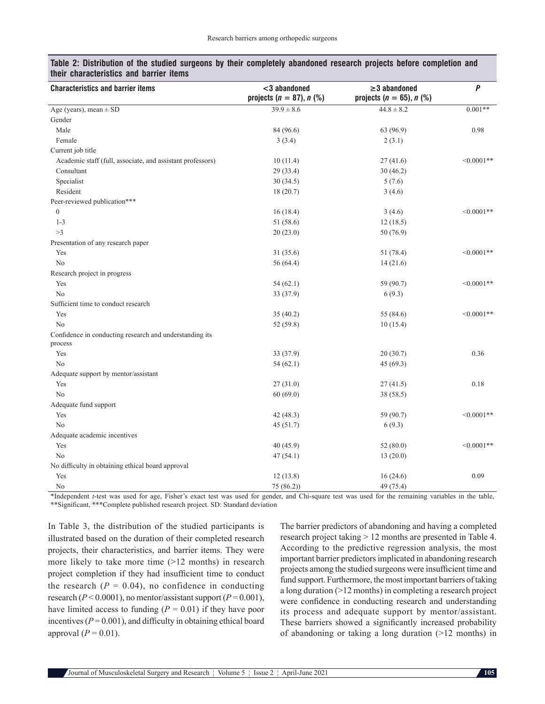| <b>Characteristics and barrier items</b>                   | <3 abandoned                   | $\geq$ 3 abandoned             | $\boldsymbol{P}$ |
|------------------------------------------------------------|--------------------------------|--------------------------------|------------------|
|                                                            | projects ( $n = 87$ ), $n$ (%) | projects ( $n = 65$ ), $n$ (%) |                  |
| Age (years), mean $\pm$ SD                                 | $39.9 \pm 8.6$                 | $44.8 \pm 8.2$                 | $0.001**$        |
| Gender                                                     |                                |                                |                  |
| Male                                                       | 84 (96.6)                      | 63 (96.9)                      | 0.98             |
| Female                                                     | 3(3.4)                         | 2(3.1)                         |                  |
| Current job title                                          |                                |                                |                  |
| Academic staff (full, associate, and assistant professors) | 10(11.4)                       | 27(41.6)                       | $<0.0001**$      |
| Consultant                                                 | 29 (33.4)                      | 30(46.2)                       |                  |
| Specialist                                                 | 30(34.5)                       | 5(7.6)                         |                  |
| Resident                                                   | 18(20.7)                       | 3(4.6)                         |                  |
| Peer-reviewed publication***                               |                                |                                |                  |
| $\mathbf{0}$                                               | 16(18.4)                       | 3(4.6)                         | $< 0.0001$ **    |
| $1 - 3$                                                    | 51 (58.6)                      | 12(18.5)                       |                  |
| >3                                                         | 20(23.0)                       | 50 (76.9)                      |                  |
| Presentation of any research paper                         |                                |                                |                  |
| Yes                                                        | 31 (35.6)                      | 51 (78.4)                      | $< 0.0001**$     |
| No                                                         | 56 (64.4)                      | 14(21.6)                       |                  |
| Research project in progress                               |                                |                                |                  |
| Yes                                                        | 54(62.1)                       | 59 (90.7)                      | $< 0.0001**$     |
| N <sub>o</sub>                                             | 33 (37.9)                      | 6(9.3)                         |                  |
| Sufficient time to conduct research                        |                                |                                |                  |
| Yes                                                        | 35(40.2)                       | 55 (84.6)                      | $< 0.0001$ **    |
| No                                                         | 52 (59.8)                      | 10(15.4)                       |                  |
| Confidence in conducting research and understanding its    |                                |                                |                  |
| process                                                    |                                |                                |                  |
| Yes                                                        | 33 (37.9)                      | 20(30.7)                       | 0.36             |
| No                                                         | 54(62.1)                       | 45 (69.3)                      |                  |
| Adequate support by mentor/assistant                       |                                |                                |                  |
| Yes                                                        | 27(31.0)                       | 27(41.5)                       | 0.18             |
| No                                                         | 60(69.0)                       | 38 (58.5)                      |                  |
| Adequate fund support                                      |                                |                                |                  |
| Yes                                                        | 42(48.3)                       | 59 (90.7)                      | $< 0.0001**$     |
| No                                                         | 45(51.7)                       | 6(9.3)                         |                  |
| Adequate academic incentives                               |                                |                                |                  |
| Yes                                                        | 40(45.9)                       | 52(80.0)                       | $< 0.0001$ **    |
| No                                                         | 47(54.1)                       | 13(20.0)                       |                  |
| No difficulty in obtaining ethical board approval          |                                |                                |                  |
| Yes                                                        | 12(13.8)                       | 16(24.6)                       | 0.09             |
| No                                                         | 75(86.2)                       | 49 (75.4)                      |                  |

### **Table 2: Distribution of the studied surgeons by their completely abandoned research projects before completion and their characteristics and barrier items**

\*Independent *t*-test was used for age, Fisher's exact test was used for gender, and Chi-square test was used for the remaining variables in the table, \*\*Significant, \*\*\*Complete published research project. SD: Standard deviation

In Table 3, the distribution of the studied participants is illustrated based on the duration of their completed research projects, their characteristics, and barrier items. They were more likely to take more time  $(>=12$  months) in research project completion if they had insufficient time to conduct the research  $(P = 0.04)$ , no confidence in conducting research ( $P < 0.0001$ ), no mentor/assistant support ( $P = 0.001$ ), have limited access to funding  $(P = 0.01)$  if they have poor incentives  $(P = 0.001)$ , and difficulty in obtaining ethical board approval  $(P = 0.01)$ .

The barrier predictors of abandoning and having a completed research project taking > 12 months are presented in Table 4. According to the predictive regression analysis, the most important barrier predictors implicated in abandoning research projects among the studied surgeons were insufficient time and fund support. Furthermore, the most important barriers of taking a long duration (>12 months) in completing a research project were confidence in conducting research and understanding its process and adequate support by mentor/assistant. These barriers showed a significantly increased probability of abandoning or taking a long duration (>12 months) in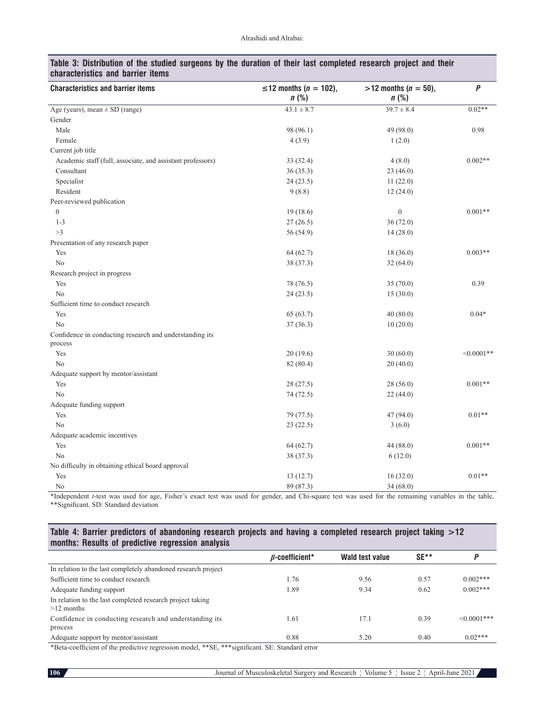| Characteristics and Darrier Renis                                  |                                      |                                       |                  |
|--------------------------------------------------------------------|--------------------------------------|---------------------------------------|------------------|
| <b>Characteristics and barrier items</b>                           | ≤12 months ( $n = 102$ ),<br>$n$ (%) | $>12$ months ( $n = 50$ ),<br>$n$ (%) | $\boldsymbol{P}$ |
| Age (years), mean $\pm$ SD (range)                                 | $43.1 \pm 8.7$                       | $39.7 \pm 8.4$                        | $0.02**$         |
| Gender                                                             |                                      |                                       |                  |
| Male                                                               | 98 (96.1)                            | 49 (98.0)                             | 0.98             |
| Female                                                             | 4(3.9)                               | 1(2.0)                                |                  |
| Current job title                                                  |                                      |                                       |                  |
| Academic staff (full, associate, and assistant professors)         | 33 (32.4)                            | 4(8.0)                                | $0.002**$        |
| Consultant                                                         | 36(35.3)                             | 23(46.0)                              |                  |
| Specialist                                                         | 24(23.5)                             | 11(22.0)                              |                  |
| Resident                                                           | 9(8.8)                               | 12(24.0)                              |                  |
| Peer-reviewed publication                                          |                                      |                                       |                  |
| $\boldsymbol{0}$                                                   | 19(18.6)                             | $\boldsymbol{0}$                      | $0.001**$        |
| $1 - 3$                                                            | 27(26.5)                             | 36(72.0)                              |                  |
| >3                                                                 | 56 (54.9)                            | 14(28.0)                              |                  |
| Presentation of any research paper                                 |                                      |                                       |                  |
| Yes                                                                | 64(62.7)                             | 18(36.0)                              | $0.003**$        |
| N <sub>o</sub>                                                     | 38 (37.3)                            | 32(64.0)                              |                  |
| Research project in progress                                       |                                      |                                       |                  |
| Yes                                                                | 78 (76.5)                            | 35(70.0)                              | 0.39             |
| N <sub>o</sub>                                                     | 24(23.5)                             | 15(30.0)                              |                  |
| Sufficient time to conduct research                                |                                      |                                       |                  |
| Yes                                                                | 65 (63.7)                            | 40(80.0)                              | $0.04*$          |
| No                                                                 | 37(36.3)                             | 10(20.0)                              |                  |
| Confidence in conducting research and understanding its<br>process |                                      |                                       |                  |
| Yes                                                                | 20(19.6)                             | 30(60.0)                              | $<0.0001**$      |
| N <sub>0</sub>                                                     | 82 (80.4)                            | 20(40.0)                              |                  |
| Adequate support by mentor/assistant                               |                                      |                                       |                  |
| Yes                                                                | 28(27.5)                             | 28(56.0)                              | $0.001**$        |
| N <sub>o</sub>                                                     | 74 (72.5)                            | 22(44.0)                              |                  |
| Adequate funding support                                           |                                      |                                       |                  |
| Yes                                                                | 79 (77.5)                            | 47(94.0)                              | $0.01**$         |
| No                                                                 | 23(22.5)                             | 3(6.0)                                |                  |
| Adequate academic incentives                                       |                                      |                                       |                  |
| Yes                                                                | 64(62.7)                             | 44(88.0)                              | $0.001**$        |
| No                                                                 | 38 (37.3)                            | 6(12.0)                               |                  |
| No difficulty in obtaining ethical board approval                  |                                      |                                       |                  |
| Yes                                                                | 13(12.7)                             | 16(32.0)                              | $0.01**$         |
| No                                                                 | 89 (87.3)                            | 34(68.0)                              |                  |

### **Table 3: Distribution of the studied surgeons by the duration of their last completed research project and their characteristics and barrier items**

\*Independent *t*-test was used for age, Fisher's exact test was used for gender, and Chi-square test was used for the remaining variables in the table, \*\*Significant. SD: Standard deviation

### **Table 4: Barrier predictors of abandoning research projects and having a completed research project taking >12 months: Results of predictive regression analysis**

|                                                                           | $\beta$ -coefficient* | Wald test value | $SE**$ |                   |
|---------------------------------------------------------------------------|-----------------------|-----------------|--------|-------------------|
| In relation to the last completely abandoned research project             |                       |                 |        |                   |
| Sufficient time to conduct research                                       | 1.76                  | 9.56            | 0.57   | $0.002***$        |
| Adequate funding support                                                  | 1.89                  | 9.34            | 0.62   | $0.002***$        |
| In relation to the last completed research project taking<br>$>12$ months |                       |                 |        |                   |
| Confidence in conducting research and understanding its                   | 1.61                  | 17.1            | 0.39   | $\leq 0.0001$ *** |
| process                                                                   |                       |                 |        |                   |
| Adequate support by mentor/assistant                                      | 0.88                  | 5.20            | 0.40   | $0.02***$         |

\*Beta‑coefficient of the predictive regression model, \*\*SE, \*\*\*significant. SE: Standard error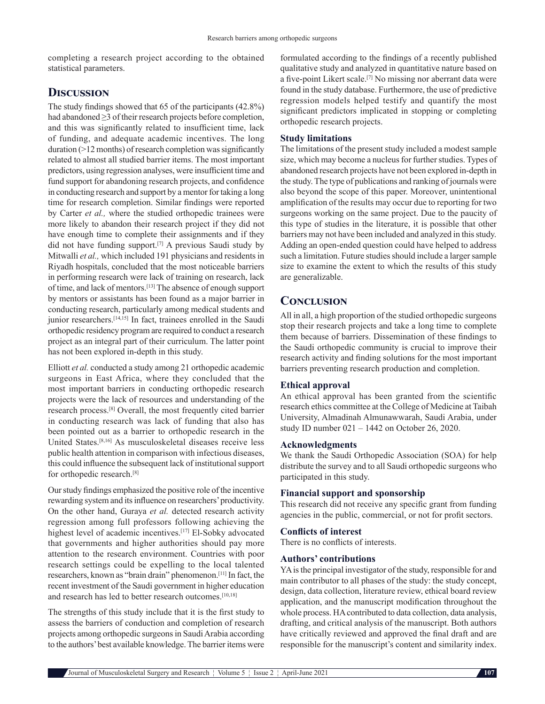completing a research project according to the obtained statistical parameters.

# **Discussion**

The study findings showed that 65 of the participants (42.8%) had abandoned ≥3 of their research projects before completion, and this was significantly related to insufficient time, lack of funding, and adequate academic incentives. The long duration (>12 months) of research completion was significantly related to almost all studied barrier items. The most important predictors, using regression analyses, were insufficient time and fund support for abandoning research projects, and confidence in conducting research and support by a mentor for taking a long time for research completion. Similar findings were reported by Carter *et al.,* where the studied orthopedic trainees were more likely to abandon their research project if they did not have enough time to complete their assignments and if they did not have funding support.[7] A previous Saudi study by Mitwalli *et al.,* which included 191 physicians and residents in Riyadh hospitals, concluded that the most noticeable barriers in performing research were lack of training on research, lack of time, and lack of mentors.[13] The absence of enough support by mentors or assistants has been found as a major barrier in conducting research, particularly among medical students and junior researchers.<sup>[14,15]</sup> In fact, trainees enrolled in the Saudi orthopedic residency program are required to conduct a research project as an integral part of their curriculum. The latter point has not been explored in-depth in this study.

Elliott *et al.* conducted a study among 21 orthopedic academic surgeons in East Africa, where they concluded that the most important barriers in conducting orthopedic research projects were the lack of resources and understanding of the research process.[8] Overall, the most frequently cited barrier in conducting research was lack of funding that also has been pointed out as a barrier to orthopedic research in the United States.[8,16] As musculoskeletal diseases receive less public health attention in comparison with infectious diseases, this could influence the subsequent lack of institutional support for orthopedic research.[8]

Our study findings emphasized the positive role of the incentive rewarding system and its influence on researchers' productivity. On the other hand, Guraya *et al.* detected research activity regression among full professors following achieving the highest level of academic incentives.<sup>[17]</sup> El-Sobky advocated that governments and higher authorities should pay more attention to the research environment. Countries with poor research settings could be expelling to the local talented researchers, known as "brain drain" phenomenon.[11] In fact, the recent investment of the Saudi government in higher education and research has led to better research outcomes.[10,18]

The strengths of this study include that it is the first study to assess the barriers of conduction and completion of research projects among orthopedic surgeons in Saudi Arabia according to the authors' best available knowledge. The barrier items were formulated according to the findings of a recently published qualitative study and analyzed in quantitative nature based on a five‑point Likert scale.[7] No missing nor aberrant data were found in the study database. Furthermore, the use of predictive regression models helped testify and quantify the most significant predictors implicated in stopping or completing orthopedic research projects.

### **Study limitations**

The limitations of the present study included a modest sample size, which may become a nucleus for further studies. Types of abandoned research projects have not been explored in-depth in the study. The type of publications and ranking of journals were also beyond the scope of this paper. Moreover, unintentional amplification of the results may occur due to reporting for two surgeons working on the same project. Due to the paucity of this type of studies in the literature, it is possible that other barriers may not have been included and analyzed in this study. Adding an open-ended question could have helped to address such a limitation. Future studies should include a larger sample size to examine the extent to which the results of this study are generalizable.

# **Conclusion**

All in all, a high proportion of the studied orthopedic surgeons stop their research projects and take a long time to complete them because of barriers. Dissemination of these findings to the Saudi orthopedic community is crucial to improve their research activity and finding solutions for the most important barriers preventing research production and completion.

### **Ethical approval**

An ethical approval has been granted from the scientific research ethics committee at the College of Medicine at Taibah University, Almadinah Almunawwarah, Saudi Arabia, under study ID number 021 – 1442 on October 26, 2020.

### **Acknowledgments**

We thank the Saudi Orthopedic Association (SOA) for help distribute the survey and to all Saudi orthopedic surgeons who participated in this study.

### **Financial support and sponsorship**

This research did not receive any specific grant from funding agencies in the public, commercial, or not for profit sectors.

### **Conflicts of interest**

There is no conflicts of interests.

### **Authors' contributions**

YA is the principal investigator of the study, responsible for and main contributor to all phases of the study: the study concept, design, data collection, literature review, ethical board review application, and the manuscript modification throughout the whole process. HA contributed to data collection, data analysis, drafting, and critical analysis of the manuscript. Both authors have critically reviewed and approved the final draft and are responsible for the manuscript's content and similarity index.